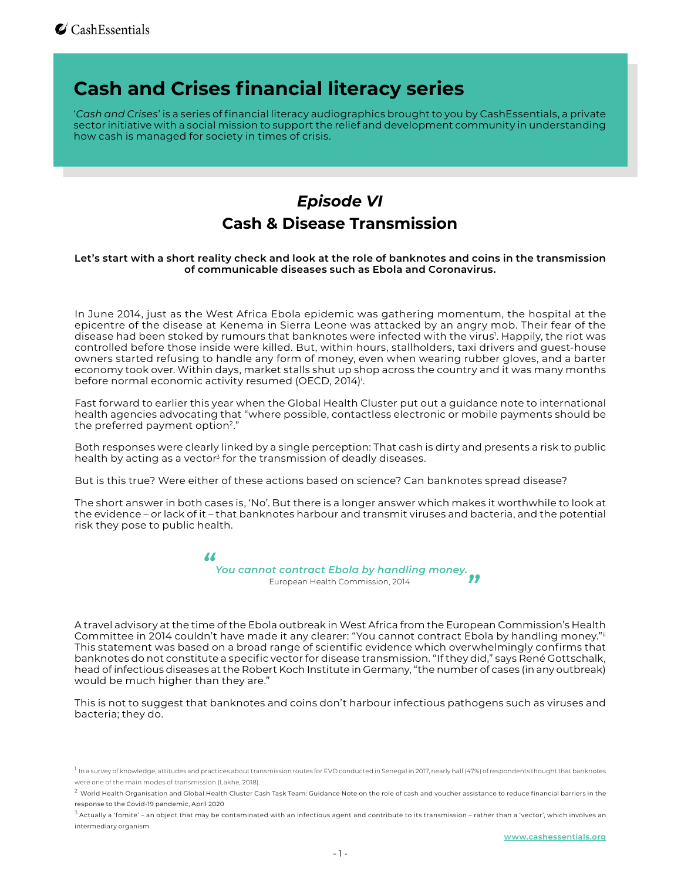## **Cash and Crises financial literacy series**

'*Cash and Crises*' is a series of financial literacy audiographics brought to you by CashEssentials, a private sector initiative with a social mission to support the relief and development community in understanding how cash is managed for society in times of crisis.

## *Episode VI* **Cash & Disease Transmission**

#### **Let's start with a short reality check and look at the role of banknotes and coins in the transmission of communicable diseases such as Ebola and Coronavirus.**

In June 2014, just as the West Africa Ebola epidemic was gathering momentum, the hospital at the epicentre of the disease at Kenema in Sierra Leone was attacked by an angry mob. Their fear of the disease had been stoked by rumours that banknotes were infected with the virus<sup>1</sup>. Happily, the riot was controlled before those inside were killed. But, within hours, stallholders, taxi drivers and guest-house owners started refusing to handle any form of money, even when wearing rubber gloves, and a barter economy took over. Within days, market stalls shut up shop across the country and it was many months before normal economic activity resumed (OECD, 2014)<sup>;</sup>.

Fast forward to earlier this year when the Global Health Cluster put out a guidance note to international health agencies advocating that "where possible, contactless electronic or mobile payments should be the preferred payment option<sup>2</sup>."

Both responses were clearly linked by a single perception: That cash is dirty and presents a risk to public health by acting as a vector<sup>3</sup> for the transmission of deadly diseases.

But is this true? Were either of these actions based on science? Can banknotes spread disease?

The short answer in both cases is, 'No'. But there is a longer answer which makes it worthwhile to look at the evidence – or lack of it – that banknotes harbour and transmit viruses and bacteria, and the potential risk they pose to public health.



A travel advisory at the time of the Ebola outbreak in West Africa from the European Commission's Health Committee in 2014 couldn't have made it any clearer: "You cannot contract Ebola by handling money."ii This statement was based on a broad range of scientific evidence which overwhelmingly confirms that banknotes do not constitute a specific vector for disease transmission. "If they did," says René Gottschalk, head of infectious diseases at the Robert Koch Institute in Germany, "the number of cases (in any outbreak) would be much higher than they are."

This is not to suggest that banknotes and coins don't harbour infectious pathogens such as viruses and bacteria; they do.

<sup>&</sup>lt;sup>1</sup> In a survey of knowledge, attitudes and practices about transmission routes for EVD conducted in Senegal in 2017, nearly half (47%) of respondents thought that banknotes were one of the main modes of transmission (Lakhe, 2018).

 $^2$  World Health Organisation and Global Health Cluster Cash Task Team: Guidance Note on the role of cash and voucher assistance to reduce financial barriers in the response to the Covid-19 pandemic, April 2020

 $^3$  Actually a 'fomite' – an object that may be contaminated with an infectious agent and contribute to its transmission – rather than a 'vector', which involves an intermediary organism.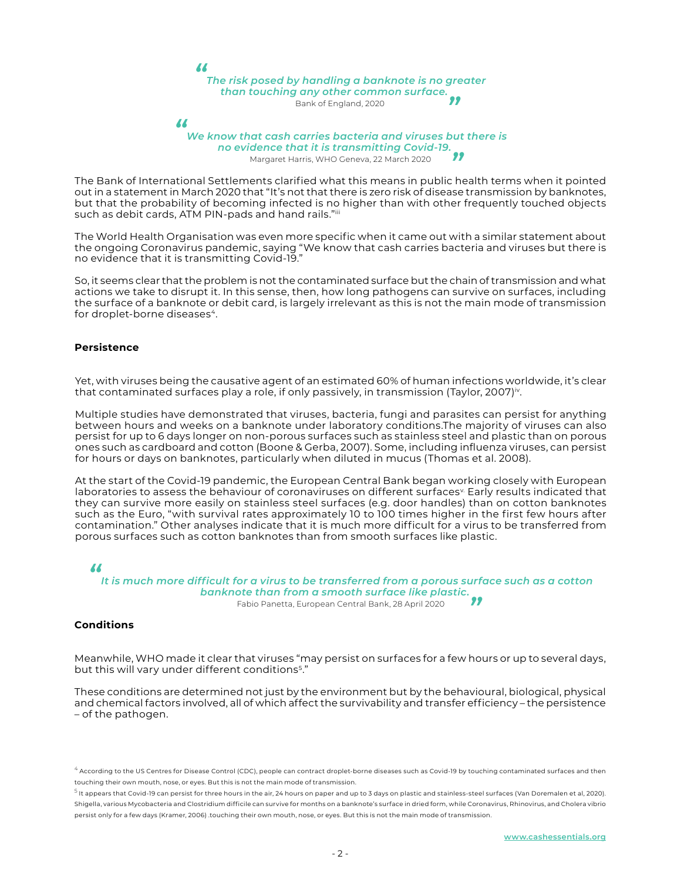*"*

# *The risk posed by handling a banknote is no greater than touching any other common surface. "* Bank of England, 2020

*"*

#### *We know that cash carries bacteria and viruses but there is no evidence that it is transmitting Covid-19. "* Margaret Harris, WHO Geneva, 22 March 2020

The Bank of International Settlements clarified what this means in public health terms when it pointed out in a statement in March 2020 that "It's not that there is zero risk of disease transmission by banknotes, but that the probability of becoming infected is no higher than with other frequently touched objects such as debit cards, ATM PIN-pads and hand rails."iii

The World Health Organisation was even more specific when it came out with a similar statement about the ongoing Coronavirus pandemic, saying "We know that cash carries bacteria and viruses but there is no evidence that it is transmitting Covid-19."

So, it seems clear that the problem is not the contaminated surface but the chain of transmission and what actions we take to disrupt it. In this sense, then, how long pathogens can survive on surfaces, including the surface of a banknote or debit card, is largely irrelevant as this is not the main mode of transmission for droplet-borne diseases<sup>4</sup>.

#### **Persistence**

Yet, with viruses being the causative agent of an estimated 60% of human infections worldwide, it's clear that contaminated surfaces play a role, if only passively, in transmission (Taylor, 2007)<sup>iv</sup>.

Multiple studies have demonstrated that viruses, bacteria, fungi and parasites can persist for anything between hours and weeks on a banknote under laboratory conditions.The majority of viruses can also persist for up to 6 days longer on non-porous surfaces such as stainless steel and plastic than on porous ones such as cardboard and cotton (Boone & Gerba, 2007). Some, including influenza viruses, can persist for hours or days on banknotes, particularly when diluted in mucus (Thomas et al. 2008).

At the start of the Covid-19 pandemic, the European Central Bank began working closely with European laboratories to assess the behaviour of coronaviruses on different surfaces<sup>«</sup> Early results indicated that they can survive more easily on stainless steel surfaces (e.g. door handles) than on cotton banknotes such as the Euro, "with survival rates approximately 10 to 100 times higher in the first few hours after contamination." Other analyses indicate that it is much more difficult for a virus to be transferred from porous surfaces such as cotton banknotes than from smooth surfaces like plastic.

*"*

*It is much more difficult for a virus to be transferred from a porous surface such as a cotton banknote than from a smooth surface like plastic. "* Fabio Panetta, European Central Bank, 28 April 2020

#### **Conditions**

Meanwhile, WHO made it clear that viruses "may persist on surfaces for a few hours or up to several days, but this will vary under different conditions<sup>5</sup>."

These conditions are determined not just by the environment but by the behavioural, biological, physical and chemical factors involved, all of which affect the survivability and transfer efficiency – the persistence – of the pathogen.

 $^4$  According to the US Centres for Disease Control (CDC), people can contract droplet-borne diseases such as Covid-19 by touching contaminated surfaces and then touching their own mouth, nose, or eyes. But this is not the main mode of transmission.

 $^{\rm 5}$  It appears that Covid-19 can persist for three hours in the air, 24 hours on paper and up to 3 days on plastic and stainless-steel surfaces (Van Doremalen et al, 2020). Shigella, various Mycobacteria and Clostridium difficile can survive for months on a banknote's surface in dried form, while Coronavirus, Rhinovirus, and Cholera vibrio persist only for a few days (Kramer, 2006) .touching their own mouth, nose, or eyes. But this is not the main mode of transmission.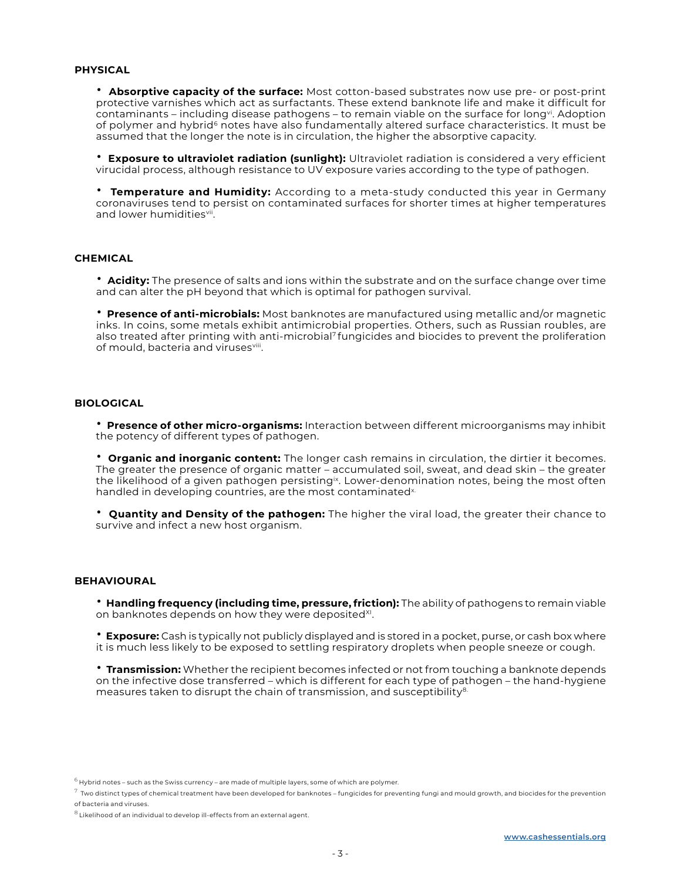#### **PHYSICAL**

• **Absorptive capacity of the surface:** Most cotton-based substrates now use pre- or post-print protective varnishes which act as surfactants. These extend banknote life and make it difficult for contaminants – including disease pathogens – to remain viable on the surface for longvi. Adoption of polymer and hybrid<sup>6</sup> notes have also fundamentally altered surface characteristics. It must be assumed that the longer the note is in circulation, the higher the absorptive capacity.

• **Exposure to ultraviolet radiation (sunlight):** Ultraviolet radiation is considered a very efficient virucidal process, although resistance to UV exposure varies according to the type of pathogen.

• **Temperature and Humidity:** According to a meta-study conducted this year in Germany coronaviruses tend to persist on contaminated surfaces for shorter times at higher temperatures and lower humiditiesvil.

#### **CHEMICAL**

• **Acidity:** The presence of salts and ions within the substrate and on the surface change over time and can alter the pH beyond that which is optimal for pathogen survival.

• **Presence of anti-microbials:** Most banknotes are manufactured using metallic and/or magnetic inks. In coins, some metals exhibit antimicrobial properties. Others, such as Russian roubles, are also treated after printing with anti-microbial<sup>7</sup> fungicides and biocides to prevent the proliferation of mould, bacteria and virusesviii.

#### **BIOLOGICAL**

• **Presence of other micro-organisms:** Interaction between different microorganisms may inhibit the potency of different types of pathogen.

• **Organic and inorganic content:** The longer cash remains in circulation, the dirtier it becomes. The greater the presence of organic matter – accumulated soil, sweat, and dead skin – the greater the likelihood of a given pathogen persisting<sup>ix</sup>. Lower-denomination notes, being the most often handled in developing countries, are the most contaminated<sup>x.</sup>

• **Quantity and Density of the pathogen:** The higher the viral load, the greater their chance to survive and infect a new host organism.

#### **BEHAVIOURAL**

• **Handling frequency (including time, pressure, friction):** The ability of pathogens to remain viable on banknotes depends on how they were deposited<sup>XI</sup>.

• **Exposure:** Cash is typically not publicly displayed and is stored in a pocket, purse, or cash box where it is much less likely to be exposed to settling respiratory droplets when people sneeze or cough.

• **Transmission:** Whether the recipient becomes infected or not from touching a banknote depends on the infective dose transferred – which is different for each type of pathogen – the hand-hygiene measures taken to disrupt the chain of transmission, and susceptibility $8$ .

 $^6$  Hybrid notes – such as the Swiss currency – are made of multiple layers, some of which are polymer.

 $^7$  Two distinct types of chemical treatment have been developed for banknotes – fungicides for preventing fungi and mould growth, and biocides for the prevention of bacteria and viruses.

 $^8$  Likelihood of an individual to develop ill-effects from an external agent.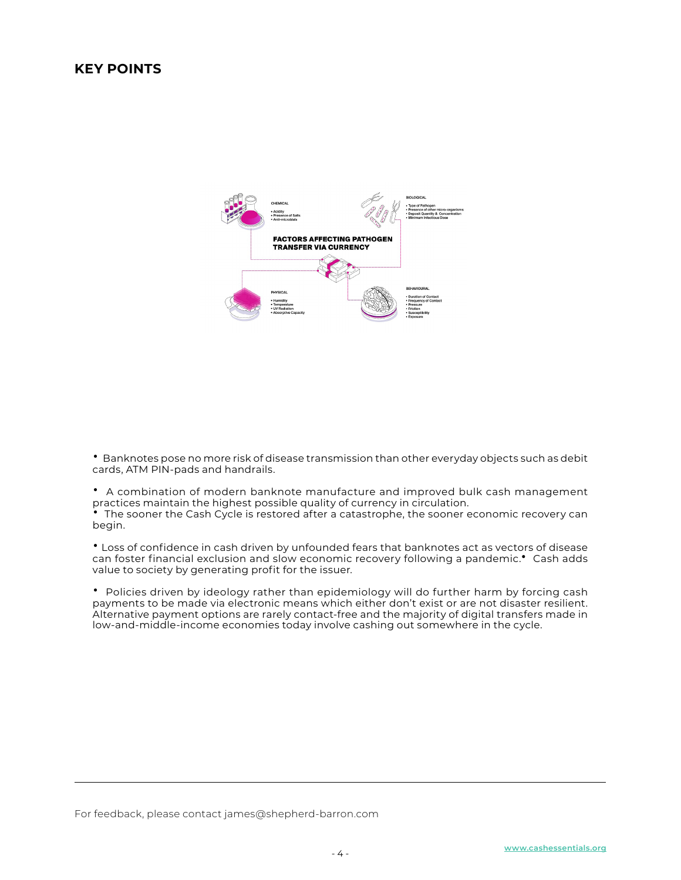### **KEY POINTS**



• Banknotes pose no more risk of disease transmission than other everyday objects such as debit cards, ATM PIN-pads and handrails.

• A combination of modern banknote manufacture and improved bulk cash management practices maintain the highest possible quality of currency in circulation. The sooner the Cash Cycle is restored after a catastrophe, the sooner economic recovery can begin.

• Loss of confidence in cash driven by unfounded fears that banknotes act as vectors of disease can foster financial exclusion and slow economic recovery following a pandemic.• Cash adds value to society by generating profit for the issuer.

• Policies driven by ideology rather than epidemiology will do further harm by forcing cash payments to be made via electronic means which either don't exist or are not disaster resilient. Alternative payment options are rarely contact-free and the majority of digital transfers made in low-and-middle-income economies today involve cashing out somewhere in the cycle.

For feedback, please contact james@shepherd-barron.com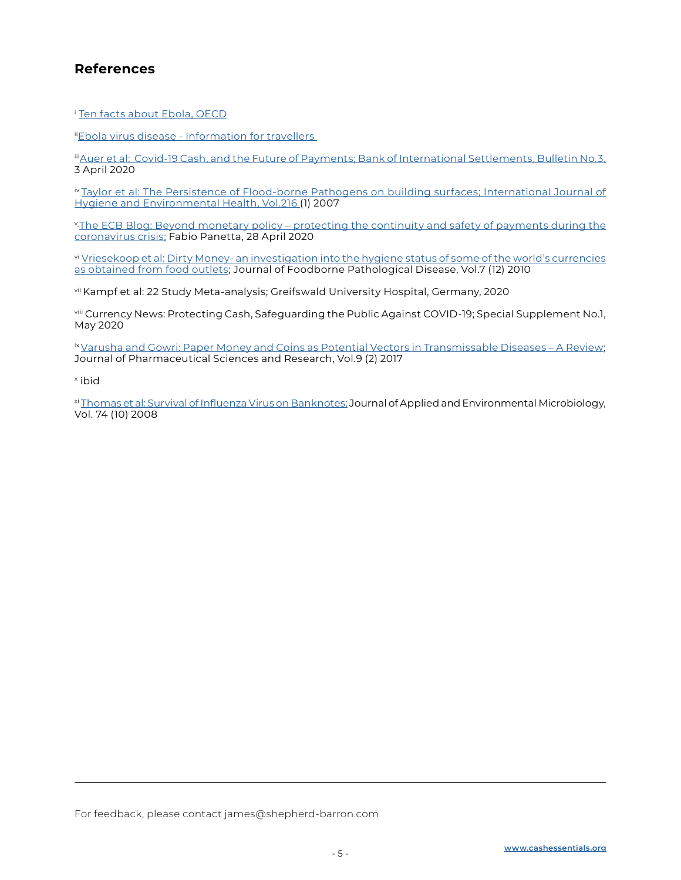## **References**

<sup>i</sup> [Ten facts about Ebola,](http://www.oecd.org/swac/ebola-10facts.htm
) OECD

ii[Ebola virus disease - Information for travellers](https://ec.europa.eu/health/sites/health/files/preparedness_response/docs/ebola_infotravellers2014_en.pdf) 

iii Auer et al: Covid-19 Cash, and the Future of Payments; Bank of International Settlements, Bulletin No.3, 3 April 2020

iv [Taylor et al: The Persistence of Flood-borne Pathogens on building surfaces; International Journal of](https://pubmed.ncbi.nlm.nih.gov/22516628/)  [Hygiene and Environmental Health, Vol.216 \(](https://pubmed.ncbi.nlm.nih.gov/22516628/)1) 2007

v<sub>The ECB</sub> Blog: Beyond monetary policy - protecting the continuity and safety of payments during the [coronavirus crisis;](https://www.ecb.europa.eu/press/blog/date/2020/html/ecb.blog200428~328d7ca065.en.html) Fabio Panetta, 28 April 2020

vi [Vriesekoop et al: Dirty Money- an investigation into the hygiene status of some of the world's currencies](https://pubmed.ncbi.nlm.nih.gov/20704502/)  [as obtained from food outlets;](https://pubmed.ncbi.nlm.nih.gov/20704502/) Journal of Foodborne Pathological Disease, Vol.7 (12) 2010

vii Kampf et al: 22 Study Meta-analysis; Greifswald University Hospital, Germany, 2020

viii Currency News: Protecting Cash, Safeguarding the Public Against COVID-19; Special Supplement No.1, May 2020

ix Varusha and Gowri: Paper Money and Coins as Potential Vectors in Transmissable Diseases - A Review; Journal of Pharmaceutical Sciences and Research, Vol.9 (2) 2017

x ibid

xi [Thomas et al: Survival of Influenza Virus on Banknotes;](https://pubmed.ncbi.nlm.nih.gov/18359825/) Journal of Applied and Environmental Microbiology, Vol. 74 (10) 2008

For feedback, please contact james@shepherd-barron.com